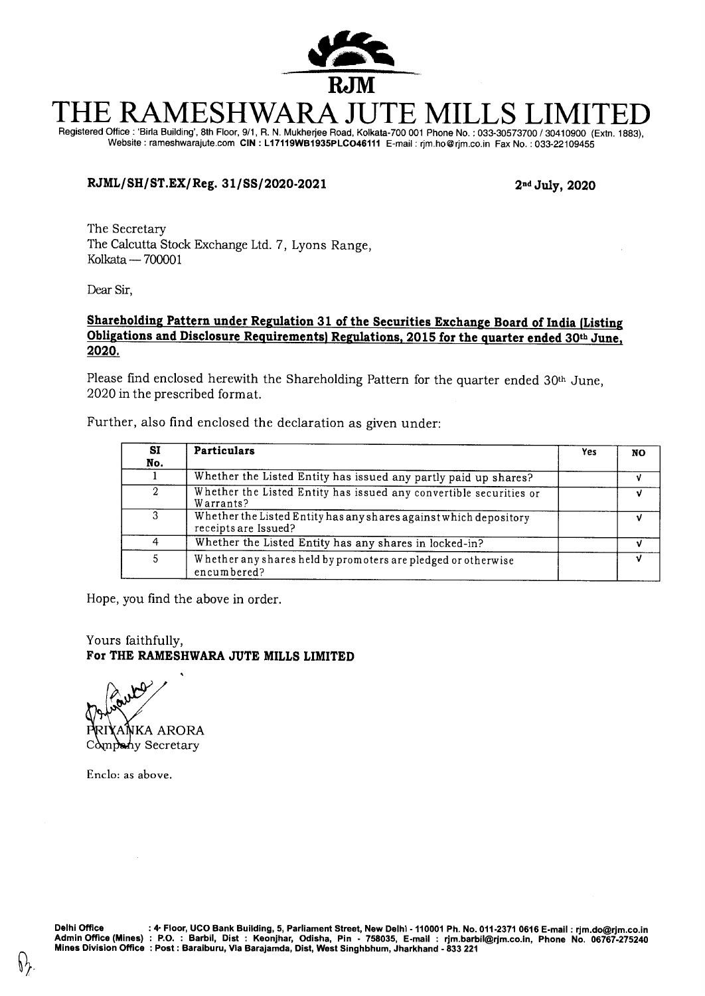

# THE RAMESHWARA JUTE MILLS LIMITED Registered Office : 'Birla Building', 8th Floor, 9/1, R. N. Mukherjee Road, Kolkata-700 001 Phone No. : 033-30573700 / 30410900 (Extn. 1883),

Website : rameshwarajute.com CIN **: L17119WB1935PLC046111** E-mail : rjm.ho@rjm.co.in Fax No. : 033-22109455

# **RJML/ SH/ ST.EX/ Reg. 31/ SS/ 2020-2021 2nd July, 2020**

The Secretary The Calcutta Stock Exchange Ltd. 7, Lyons Range, Kolkata — 700001

Dear Sir,

## **Shareholding Pattern under Regulation 31 of the Securities Exchange Board of India (Listing Obligations and Disclosure Requirements) Regulations, 2015 for the quarter ended 30th June, 2020.**

Please find enclosed herewith the Shareholding Pattern for the quarter ended 30<sup>th</sup> June, 2020 in the prescribed format.

Further, also find enclosed the declaration as given under:

| SI<br>No. | <b>Particulars</b>                                                                        | <b>Yes</b> | NO |
|-----------|-------------------------------------------------------------------------------------------|------------|----|
|           | Whether the Listed Entity has issued any partly paid up shares?                           |            |    |
| 2         | Whether the Listed Entity has issued any convertible securities or<br>Warrants?           |            |    |
| 3         | Whether the Listed Entity has any shares against which depository<br>receipts are Issued? |            |    |
|           | Whether the Listed Entity has any shares in locked-in?                                    |            |    |
| 5         | Whether any shares held by promoters are pledged or otherwise<br>encumbered?              |            |    |

Hope, you find the above in order.

Yours faithfully, **For THE RAMESHWARA JUTE MILLS LIMITED** 

 $\mathfrak{S}$ ANKA ARORA Company Secretary

Enclo: as above.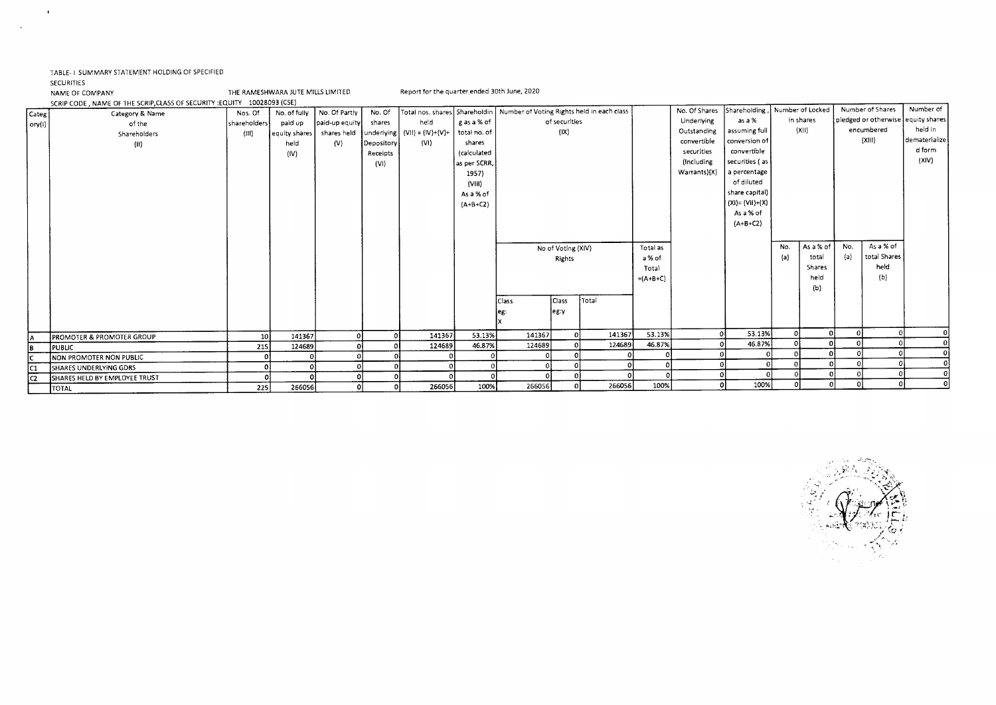### TABLE- I SUMMARY STATEMENT HOLDING OF SPECIFIED

#### SECURITIES

 $\cdot$ 

 $\mathbf{r}$ 

NAME OF COMPANY THE RAMESHWARA JUTE MILLS LIMITED Report for the quarter ended 30th June, 2020

SCRIP CODE, NAME OF THE SCRIP,CLASS OF SECURITY :EQUITY 10028093 (CSE)

|                | SCRIP CODE, INMIRIE OF THE SCRIPT/CENSS OF SECOND PROOF TOOLCOSS (COD) |              |               |                |            |                                  |                 |                                                                              |                    |        |            |               |                                 |          |           |     |                  |                                    |
|----------------|------------------------------------------------------------------------|--------------|---------------|----------------|------------|----------------------------------|-----------------|------------------------------------------------------------------------------|--------------------|--------|------------|---------------|---------------------------------|----------|-----------|-----|------------------|------------------------------------|
| Categ          | Category & Name                                                        | Nos. Of      | No. of fully  | No. Of Partly  | No. Of     |                                  |                 | Total nos. shares   Shareholdin   Number of Voting Rights held in each class |                    |        |            | No. Of Shares | Shareholding , Number of Locked |          |           |     | Number of Shares | Number of                          |
| ory(1)         | of the                                                                 | shareholders | paid up       | paid-up equity | shares     | held                             | g as a % of     |                                                                              | of securities      |        |            | Underlying    | as a %                          |          | in shares |     |                  | pledged or otherwise equity shares |
|                | Shareholders                                                           | (111)        | equity shares | shares held    |            | underlying   (VII) = $(IV)+(V)+$ | total no. of    |                                                                              | $( X\rangle$       |        |            | Outstanding   | assuming full                   |          | (XII)     |     | encumbered       | held in                            |
|                | (11)                                                                   |              | held          | (V)            | Depository | (VI)                             | shares          |                                                                              |                    |        |            | convertible   | conversion of                   |          |           |     | (XIII)           | dematerialize                      |
|                |                                                                        |              | (IV)          |                | Receipts   |                                  | (calculated     |                                                                              |                    |        |            | securities    | convertible                     |          |           |     |                  | d form                             |
|                |                                                                        |              |               |                | (VI)       |                                  | as per SCRR,    |                                                                              |                    |        |            | (Including    | securities (as                  |          |           |     |                  | $\{XIV\}$                          |
|                |                                                                        |              |               |                |            |                                  | 1957)           |                                                                              |                    |        |            | Warrants)(X)  | a percentage                    |          |           |     |                  |                                    |
|                |                                                                        |              |               |                |            |                                  | $\langle$ VIII) |                                                                              |                    |        |            |               | of diluted                      |          |           |     |                  |                                    |
|                |                                                                        |              |               |                |            |                                  | As a % of       |                                                                              |                    |        |            |               | share capital)                  |          |           |     |                  |                                    |
|                |                                                                        |              |               |                |            |                                  | $(A+B+C2)$      |                                                                              |                    |        |            |               | $(XI) = (VII)+(X)$              |          |           |     |                  |                                    |
|                |                                                                        |              |               |                |            |                                  |                 |                                                                              |                    |        |            |               | As a % of                       |          |           |     |                  |                                    |
|                |                                                                        |              |               |                |            |                                  |                 |                                                                              |                    |        |            |               | $(A+B+C2)$                      |          |           |     |                  |                                    |
|                |                                                                        |              |               |                |            |                                  |                 |                                                                              |                    |        |            |               |                                 |          |           |     |                  |                                    |
|                |                                                                        |              |               |                |            |                                  |                 |                                                                              | No of Voting (XIV) |        | Total as   |               |                                 | No.      | As a % of | No. | As a % of        |                                    |
|                |                                                                        |              |               |                |            |                                  |                 |                                                                              | Rights             |        | a % of     |               |                                 | (a)      | total     | (a) | total Shares     |                                    |
|                |                                                                        |              |               |                |            |                                  |                 |                                                                              |                    |        | Total      |               |                                 |          | Shares    |     | held             |                                    |
|                |                                                                        |              |               |                |            |                                  |                 |                                                                              |                    |        | $=(A+B+C)$ |               |                                 |          | held      |     | (b)              |                                    |
|                |                                                                        |              |               |                |            |                                  |                 |                                                                              |                    |        |            |               |                                 |          | (b)       |     |                  |                                    |
|                |                                                                        |              |               |                |            |                                  |                 | Class                                                                        | Class              | Total  |            |               |                                 |          |           |     |                  |                                    |
|                |                                                                        |              |               |                |            |                                  |                 |                                                                              | leg:y              |        |            |               |                                 |          |           |     |                  |                                    |
|                |                                                                        |              |               |                |            |                                  |                 |                                                                              |                    |        |            |               |                                 |          |           |     |                  |                                    |
|                |                                                                        |              |               |                |            |                                  |                 |                                                                              |                    |        | 53.13%     |               | 53.13%                          | $\Omega$ | ΩI        |     |                  |                                    |
| İА.            | <b>PROMOTER &amp; PROMOTER GROUP</b>                                   | <b>10</b>    | 141367        |                |            | 141367                           | 53.13%          | 141367                                                                       |                    | 141367 |            |               | 46.87%                          |          |           |     |                  |                                    |
| B              | <b>PUBLIC</b>                                                          | 215          | 124689        |                |            | 124689                           | 46.87%          | 124689                                                                       |                    | 124689 | 46.87%     |               |                                 |          |           |     |                  |                                    |
|                | <b>NON PROMOTER NON PUBLIC</b>                                         |              |               |                |            |                                  |                 |                                                                              |                    |        |            |               |                                 |          |           |     |                  |                                    |
| IC1            | SHARES UNDERLYING GDRS                                                 |              |               |                |            |                                  |                 |                                                                              |                    |        |            |               |                                 |          |           |     |                  |                                    |
| $\overline{a}$ | <b>SHARES HELD BY EMPLOYEE TRUST</b>                                   |              |               |                |            |                                  |                 |                                                                              |                    |        |            |               |                                 |          | n.        |     |                  |                                    |
|                | <b>TOTAL</b>                                                           | 225          | 266056        |                |            | 266056                           | 100%            | 266056                                                                       |                    | 266056 | 100%       |               | 100%                            |          |           |     |                  |                                    |

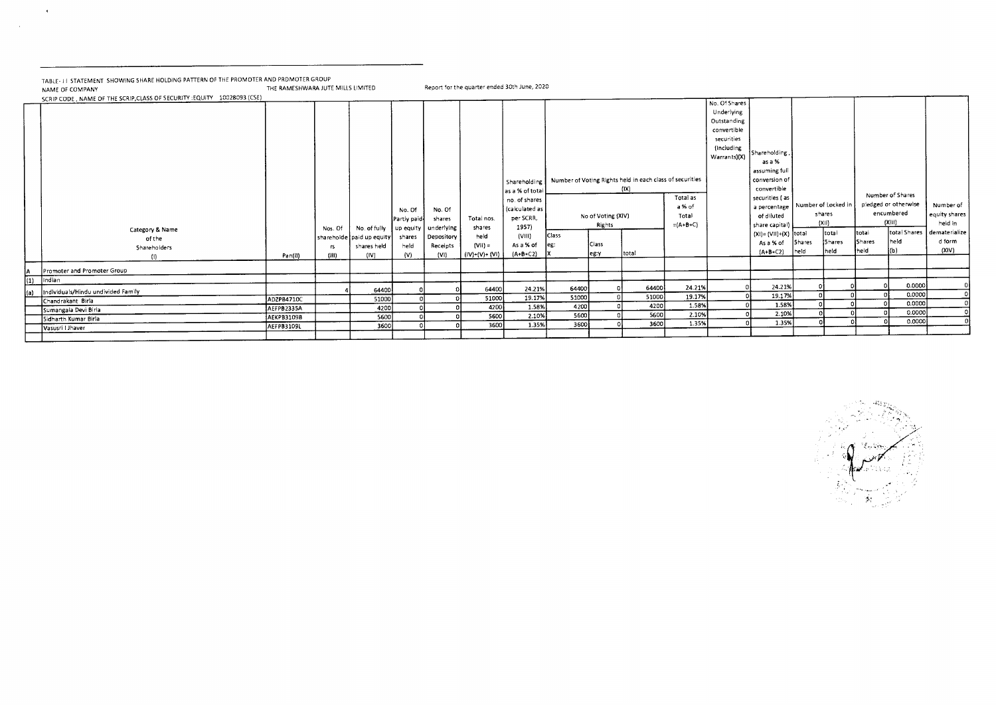TABLE- I I STATEMENT SHOWING SHARE HOLDING PATTERN OF THE PROMOTER AND PRDMOTER GROUP<br>NAME OF COMPANY Report for the quarter ended 30th June, 2020 SCRIPTION CONDETION CONDETION CONDETIONS OF THE SAMESHWARA JUTE MILLS LIMITED.<br>SCRIPTION OF SECURITY :EQUITY 10028093 (CSF)

 $\mathcal{A}^{\pm}$ 

 $\sim 10^7$ 

|      | SCRIP CODE , NAME OF THE SCRIP, CLASS OF SECURITY : EQUITY 40028093 (CSE)<br>Category & Name |            | Nos. Of | No. of fully<br>shareholde paid up equity | No. Of<br>Partly paid-<br>up equity<br>shares | No. Of<br>shares<br>underlying<br>Depository | Total nos.<br>shares<br>held | Shareholding<br>as a % of total<br>no. of shares<br>calculated as<br>per SCRR,<br>1957)<br>(VIII) | Class | No of Voting (XIV)<br>Rights | Number of Voting Rights held in each class of securities<br>(1X) | Total as<br>a % of<br>Total<br>$=(A+B+C)$ | No. Of Shares<br>Underlying<br>Outstanding<br>convertible<br>securities<br>(Including<br>Warrants)(X) | Shareholding,<br>as a %<br>assuming full<br>conversion of<br>convertible<br>securities (as<br>a percentage   Number of Locked in<br>of diluted<br>share capital)<br>(XI)= (VII)+(X) total |                    | shares<br>(X I)<br>total | total  | Number of Shares<br>pledged or otherwise<br>encumbered<br>(X H)<br>total Shares | Number of<br>equity shares<br>held in<br>dematerialize |
|------|----------------------------------------------------------------------------------------------|------------|---------|-------------------------------------------|-----------------------------------------------|----------------------------------------------|------------------------------|---------------------------------------------------------------------------------------------------|-------|------------------------------|------------------------------------------------------------------|-------------------------------------------|-------------------------------------------------------------------------------------------------------|-------------------------------------------------------------------------------------------------------------------------------------------------------------------------------------------|--------------------|--------------------------|--------|---------------------------------------------------------------------------------|--------------------------------------------------------|
|      | of the<br>Shareholders                                                                       |            | rs      | shares held                               | held                                          | Receipts                                     | $(VII) =$                    | As a % of                                                                                         | leg:  | Class                        |                                                                  |                                           |                                                                                                       | As a % of                                                                                                                                                                                 | 5 <sub>hares</sub> | Shares                   | Shares | held                                                                            | d form<br>(XIV)                                        |
|      | (I)                                                                                          | Pan(II)    | (III)   | (IV)                                      | (V)                                           | (VI)                                         | $(IV)+(V)+(VI)$              | $(A+B+C2)$                                                                                        |       | eg:y                         | total                                                            |                                           |                                                                                                       | $(A+B+C2)$                                                                                                                                                                                | held               | held                     | held   | (b)                                                                             |                                                        |
| A    | Promoter and Promoter Group                                                                  |            |         |                                           |                                               |                                              |                              |                                                                                                   |       |                              |                                                                  |                                           |                                                                                                       |                                                                                                                                                                                           |                    |                          |        |                                                                                 |                                                        |
| (1)  | Indian                                                                                       |            |         |                                           |                                               |                                              |                              |                                                                                                   |       |                              |                                                                  |                                           |                                                                                                       |                                                                                                                                                                                           |                    |                          |        |                                                                                 |                                                        |
| l(a) | Individuals/Hindu undivided Family                                                           |            |         | 64400                                     |                                               |                                              | 64400                        | 24.21%                                                                                            | 64400 |                              | 64400                                                            | 24.21%                                    |                                                                                                       | 24.21%                                                                                                                                                                                    |                    |                          |        | 0.0000                                                                          |                                                        |
|      | Chandrakant Birla                                                                            | ADZPB4710C |         | 51000                                     |                                               |                                              | 51000                        | 19.17%                                                                                            | 51000 |                              | 51000                                                            | 19.17%                                    |                                                                                                       | 19.17%                                                                                                                                                                                    |                    |                          |        | 0.0000                                                                          |                                                        |
|      | Sumangala Devi Birla                                                                         | AEFPB2335A |         | 4200                                      |                                               |                                              | 4200                         | 1.58%                                                                                             | 4200  |                              | 4200                                                             | 1.58%                                     |                                                                                                       | 1.58%                                                                                                                                                                                     |                    |                          |        | 0.0000<br>0.0000                                                                |                                                        |
|      | Sidharth Kumar Birla                                                                         | AEKPB3109B |         | 5600                                      |                                               |                                              | 5600                         | 2.10%                                                                                             | 5600  |                              | 5600                                                             | 2.10%                                     |                                                                                                       | 2.10%                                                                                                                                                                                     |                    |                          |        | 0.0000                                                                          |                                                        |
|      | Vasusri I Jhaver                                                                             | AEFPB3109L |         | 3600                                      |                                               |                                              | 3600                         | 1.35%                                                                                             | 3600  |                              | 3600                                                             | 1.35%                                     |                                                                                                       | 1.35%                                                                                                                                                                                     |                    |                          |        |                                                                                 |                                                        |
|      |                                                                                              |            |         |                                           |                                               |                                              |                              |                                                                                                   |       |                              |                                                                  |                                           |                                                                                                       |                                                                                                                                                                                           |                    |                          |        |                                                                                 |                                                        |

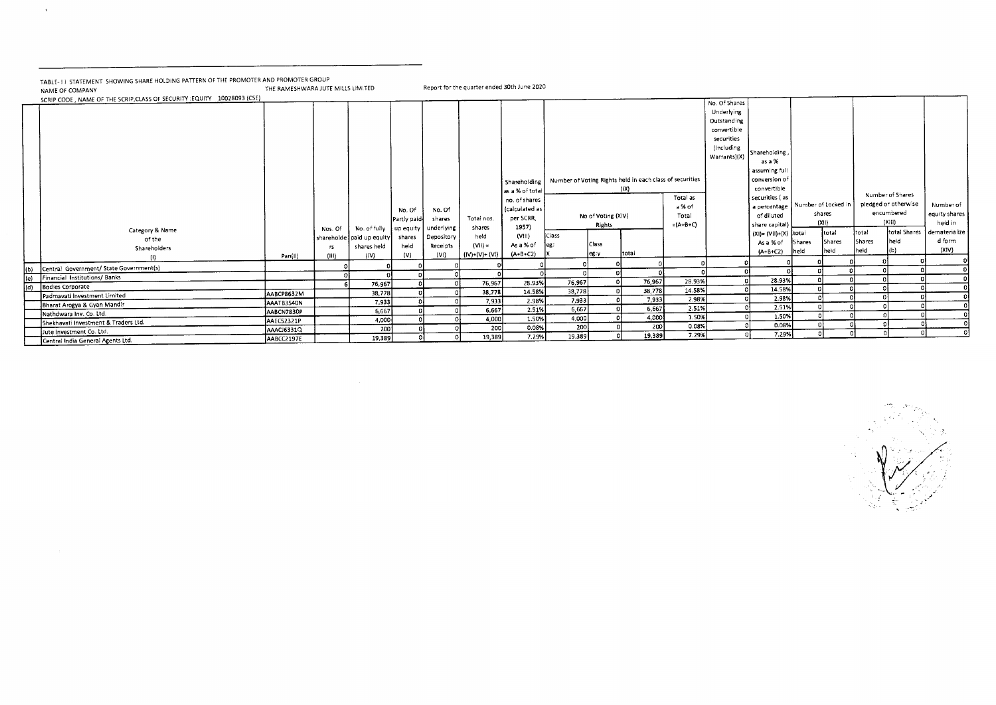TABLE- I I STATEMENT SHOWING SHARE HOLDING PATTERN OF THE PROMOTER AND PROMOTER GROUP<br>NAME OF COMPANY NAME OF COMPANY THE RAMESHWARA JUTE MILLS LIMITED Report for the quarter ended 30th June 2020

 $\mathcal{A}^{\mathcal{A}}$ 

|     | SCRIP CODE, NAME OF THE SCRIP, CLASS OF SECURITY : EQUITY 10028093 (CSE) |            |              |                          |              |            |                |                |               |                    |                                                          |            | No. Of Shares |                                    |        |        |        |                      |               |
|-----|--------------------------------------------------------------------------|------------|--------------|--------------------------|--------------|------------|----------------|----------------|---------------|--------------------|----------------------------------------------------------|------------|---------------|------------------------------------|--------|--------|--------|----------------------|---------------|
|     |                                                                          |            |              |                          |              |            |                |                |               |                    |                                                          |            | Underlying    |                                    |        |        |        |                      |               |
|     |                                                                          |            |              |                          |              |            |                |                |               |                    |                                                          |            | Outstanding   |                                    |        |        |        |                      |               |
|     |                                                                          |            |              |                          |              |            |                |                |               |                    |                                                          |            | convertible   |                                    |        |        |        |                      |               |
|     |                                                                          |            |              |                          |              |            |                |                |               |                    |                                                          |            | securities    |                                    |        |        |        |                      |               |
|     |                                                                          |            |              |                          |              |            |                |                |               |                    |                                                          |            | (Including    |                                    |        |        |        |                      |               |
|     |                                                                          |            |              |                          |              |            |                |                |               |                    |                                                          |            | Warrants)(X)  | Shareholding,                      |        |        |        |                      |               |
|     |                                                                          |            |              |                          |              |            |                |                |               |                    |                                                          |            |               | as a %                             |        |        |        |                      |               |
|     |                                                                          |            |              |                          |              |            |                |                |               |                    |                                                          |            |               | assuming full                      |        |        |        |                      |               |
|     |                                                                          |            |              |                          |              |            |                | Shareholding   |               |                    | Number of Voting Rights held in each class of securities |            |               | conversion of                      |        |        |        |                      |               |
|     |                                                                          |            |              |                          |              |            |                | as a % of tota |               |                    | (IX)                                                     |            |               | convertible                        |        |        |        |                      |               |
|     |                                                                          |            |              |                          |              |            |                | no. of shares  |               |                    |                                                          | Total as   |               | securities (as                     |        |        |        | Number of Shares     |               |
|     |                                                                          |            |              |                          | No. Of       | No. Of     |                | (calculated as |               |                    |                                                          | a % of     |               | a percentage   Number of Locked in |        |        |        | pledged or otherwise | Number of     |
|     |                                                                          |            |              |                          | Partly paid- | shares     | Total nos.     | per SCRR,      |               | No of Voting (XIV) |                                                          | Total      |               | of diluted                         |        | shares |        | encumbered           | equity shares |
|     |                                                                          |            | Nos. Of      | No. of fully             | up equity    | underlying | shares         | 1957)          |               | Rights             |                                                          | $=(A+B+C)$ |               | share capital)                     |        | (X  )  |        | (X  )                | heid in       |
|     | Category & Name                                                          |            |              | shareholde paid up equit | shares       | Depository | held           | (VIII)         | Class         |                    |                                                          |            |               | $(XI) = (VII)+(X)$ total           |        | itotal | Itotal | total Shares         | dematerialize |
|     | of the                                                                   |            |              | shares held              | held         | Receipts   | $(VII) =$      | As a % of      |               | Class              |                                                          |            |               | As a % of                          | Shares | Shares | Shares | heid                 | d form        |
|     | Shareholders                                                             | Pan(11)    | TS.<br>(III) | (IV)                     | (V)          | (VI)       | (IV)+(V)+ (VI) | $(A + B + C2)$ |               | jeg∶γ              | total                                                    |            |               | $(A + B + C2)$                     | held   | heid   | heid   |                      | (XIV)         |
|     |                                                                          |            |              |                          |              |            |                |                |               |                    |                                                          |            |               |                                    |        |        |        |                      |               |
| (b) | Central Government/ State Government(s)                                  |            |              |                          |              |            |                |                |               |                    |                                                          |            |               |                                    |        |        |        |                      |               |
| (e) | Financial Institutions/Banks                                             |            |              |                          |              |            |                | 28.93%         | 76,967        |                    | 76,967                                                   | 28.93%     |               | 28.93%                             |        |        |        |                      |               |
| (d) | <b>Bodies Corporate</b>                                                  |            |              | 76,967                   |              |            | 76,967         | 14.58%         | 38,778        |                    | 38,778                                                   | 14.58%     |               | 14.58%                             |        |        |        |                      |               |
|     | Padmavati Investment Limited                                             | AABCP8632M |              | 38,778                   |              |            | 38,778         |                | 7,933         |                    | 7,933                                                    | 2.98%      |               | 2.98%                              |        |        |        |                      |               |
|     | Bharat Arogya & Gyan Mandir                                              | AAATB3540N |              | 7,933                    |              |            | 7,933          | 2.98%<br>2.51% | 6,667         |                    | 6,667                                                    | 2.51%      |               | 2.51%                              |        |        |        |                      |               |
|     | Nathdwara Inv. Co. Ltd.                                                  | AABCN7830P |              | 6,667                    |              |            | 6,667          |                |               |                    | 4,000                                                    | 1.50%      |               | 1.50%                              |        |        |        |                      |               |
|     | Shekhavati Investment & Traders Ltd.                                     | AAEC52321P |              | 4,000                    |              |            | 4,000          | 1.50%          | 4,000         |                    | 200                                                      | 0.08%      |               | 0.08%                              |        |        |        |                      |               |
|     | Jute Investment Co. Ltd.                                                 | AAACJ6331Q |              | 200                      |              |            | 200            | 0.08%          | 200<br>19,389 |                    | 19,389                                                   | 7.29%      |               | 7.29%                              |        |        |        |                      |               |
|     | Central India General Agents Ltd.                                        | AABCC2197E |              | 19,389                   |              |            | 19,389         | 7.29%          |               |                    |                                                          |            |               |                                    |        |        |        |                      |               |

CH.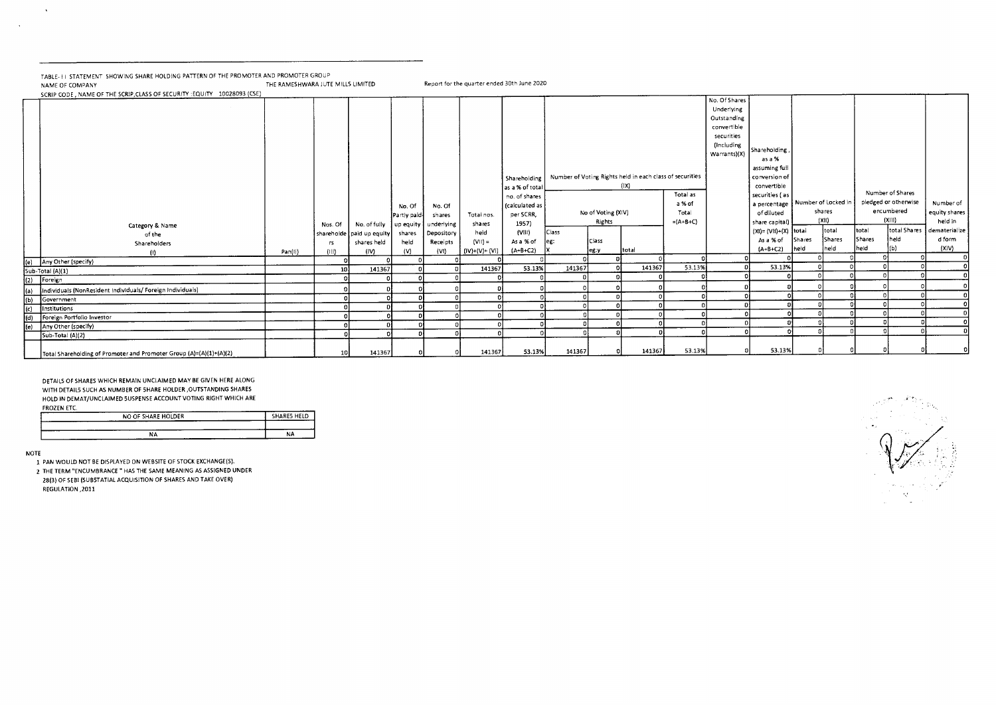TABLE-TI STATEMENT SHOWING SHARE HOLDING PATTERN OF THE PROMOTER AND PROMOTER GROUP<br>NAME OF COMPANY THE RAMESHWARA JUTE MILLS LIMITED Report for the quarter ended 30th June 2020

SCRIP CODE, NAME OF THE SCRIP, CLASS OF SECURITY : EQUITY 10028093 (CSE)

|                       | SCRIP CODE, INAINE OF THE SCRIP, CLASS OF SECONTHILICQUITY 20020033 (CSE) |         |                       |                                                                                         |                                                |                                                                 |                                                              |                                                                                                                               |        |                                                       |                                                                           |                                           |                                                                                                       |                                                                                                                                                                                                                            |                |                                               |                         |                                                                                           |                                                                           |
|-----------------------|---------------------------------------------------------------------------|---------|-----------------------|-----------------------------------------------------------------------------------------|------------------------------------------------|-----------------------------------------------------------------|--------------------------------------------------------------|-------------------------------------------------------------------------------------------------------------------------------|--------|-------------------------------------------------------|---------------------------------------------------------------------------|-------------------------------------------|-------------------------------------------------------------------------------------------------------|----------------------------------------------------------------------------------------------------------------------------------------------------------------------------------------------------------------------------|----------------|-----------------------------------------------|-------------------------|-------------------------------------------------------------------------------------------|---------------------------------------------------------------------------|
|                       | Category & Name<br>of the<br>Shareholders<br>$\cup$                       | Pan(II) | Nos. Of<br>rs<br>(HI) | No. of fully   up equity  <br>shareholde paid up equity<br>shares held<br>$\langle$ IV) | No. Of<br>Partly paid<br>shares<br>held<br>(V) | No. Of<br>shares<br>underlying<br>Depository<br>Receipts<br>(V) | Total nos.<br>shares<br>held<br>$(VII) =$<br>$(IV)+(V)+(V))$ | Shareholding<br>as a % of total<br>no. of shares<br>(calculated as<br>per SCRR,<br>1957)<br>(VIII)<br>As a % of<br>$(A+B+C2)$ | Class  | No of Voting (XIV)<br>Rights<br><b>Class</b><br>leg y | Number of Voting Rights held in each class of securities<br>(1X)<br>total | Total as<br>a % of<br>Total<br>$=(A+B+C)$ | No. Of Shares<br>Underlying<br>Outstanding<br>convertible<br>securities<br>(Including<br>Warrants)(X) | Shareholding<br>as a %<br>assuming full<br>conversion of<br>convertible<br>securities (as<br>a percentage   Number of Locked in<br>of diluted<br>share capital)<br>$(XI) = (VII)+(X)$ total<br>As a % of<br>$(A + B + C2)$ | Shares<br>held | shares<br>$(X_1)$<br>itotai<br>Shares<br>held | total<br>Shares<br>held | Number of Shares<br>piedged or otherwise<br>encumbered<br>(XIII)<br>total Shares<br>İheld | Number of<br>equity shares<br>held in<br>dematerialize<br>d form<br>(X V) |
|                       | (e) Any Other (specify)                                                   |         |                       |                                                                                         |                                                |                                                                 |                                                              |                                                                                                                               |        |                                                       |                                                                           |                                           |                                                                                                       |                                                                                                                                                                                                                            |                |                                               |                         |                                                                                           |                                                                           |
|                       | Sub-Total (A)(1)                                                          |         | 10                    | 141367                                                                                  |                                                |                                                                 | 141367                                                       | 53.13%                                                                                                                        | 141367 |                                                       | 141367                                                                    | 53.13%                                    |                                                                                                       | 53.13%                                                                                                                                                                                                                     |                |                                               |                         |                                                                                           |                                                                           |
| $\overline{2}$        | Foreign                                                                   |         |                       |                                                                                         |                                                |                                                                 |                                                              |                                                                                                                               |        |                                                       |                                                                           |                                           |                                                                                                       |                                                                                                                                                                                                                            |                |                                               |                         |                                                                                           |                                                                           |
|                       | Individuals (NonResident Individuals/ Foreign Individuals)                |         |                       |                                                                                         |                                                |                                                                 |                                                              |                                                                                                                               |        |                                                       |                                                                           |                                           |                                                                                                       |                                                                                                                                                                                                                            |                |                                               |                         |                                                                                           |                                                                           |
| $\frac{f(z)}{g(z)}$   | Government                                                                |         |                       |                                                                                         |                                                |                                                                 |                                                              |                                                                                                                               |        |                                                       |                                                                           |                                           |                                                                                                       |                                                                                                                                                                                                                            |                |                                               |                         |                                                                                           |                                                                           |
|                       | Institutions                                                              |         |                       |                                                                                         |                                                |                                                                 |                                                              |                                                                                                                               |        |                                                       |                                                                           |                                           |                                                                                                       |                                                                                                                                                                                                                            |                |                                               |                         |                                                                                           |                                                                           |
| $\overline{\text{d}}$ | Foreign Portfolio Investor                                                |         |                       |                                                                                         |                                                |                                                                 |                                                              |                                                                                                                               |        |                                                       |                                                                           |                                           |                                                                                                       |                                                                                                                                                                                                                            |                |                                               |                         |                                                                                           |                                                                           |
| (e)                   | Any Other (specify)                                                       |         |                       |                                                                                         |                                                |                                                                 |                                                              |                                                                                                                               |        |                                                       |                                                                           |                                           |                                                                                                       |                                                                                                                                                                                                                            |                |                                               |                         |                                                                                           |                                                                           |
|                       | Sub-Total (A)(2)                                                          |         |                       |                                                                                         |                                                |                                                                 |                                                              |                                                                                                                               |        |                                                       |                                                                           |                                           |                                                                                                       |                                                                                                                                                                                                                            |                |                                               |                         |                                                                                           |                                                                           |
|                       | Total Shareholding of Promoter and Promoter Group (A)=(A)(1)+(A)(2)       |         | 10 <sup>1</sup>       | 141367                                                                                  |                                                |                                                                 | 141367                                                       | 53.13%                                                                                                                        | 141367 |                                                       | 141367                                                                    | 53.13%                                    |                                                                                                       | 53.13%                                                                                                                                                                                                                     |                |                                               |                         |                                                                                           |                                                                           |

DETAILS OF SHARES WHICH REMAIN UNCLAIMED MAY BE GIVEN HERE ALONG WITH DETAILS SUCH AS NUMBER OF SHARE HOLDER ,OUTSTANDING SHARES HOLD IN DEMAT/UNCLAIMED SUSPENSE ACCOUNT VOTING RIGHT WHICH ARE FROZEN ETC.

| $-$<br><b>COLUMN</b><br>NO OF SHARE HOLDER | SHARES HELD |
|--------------------------------------------|-------------|
|                                            | ----        |
| NΑ                                         | <b>NA</b>   |

NOTE

 $\sim$   $\sim$ 

 $\sim 10$ 

1 PAN WOULD NOT BE DISPLAYED ON WEBSITE OF STOCK EXCHANGE(S).

2 THE TERM "ENCUMBRANCE " HAS THE SAME MEANING AS ASSIGNED UNDER 28(3) OF SEBI (SUBSTATIAL ACQUISITION OF SHARES AND TAKE OVER) REGULATION ,2011

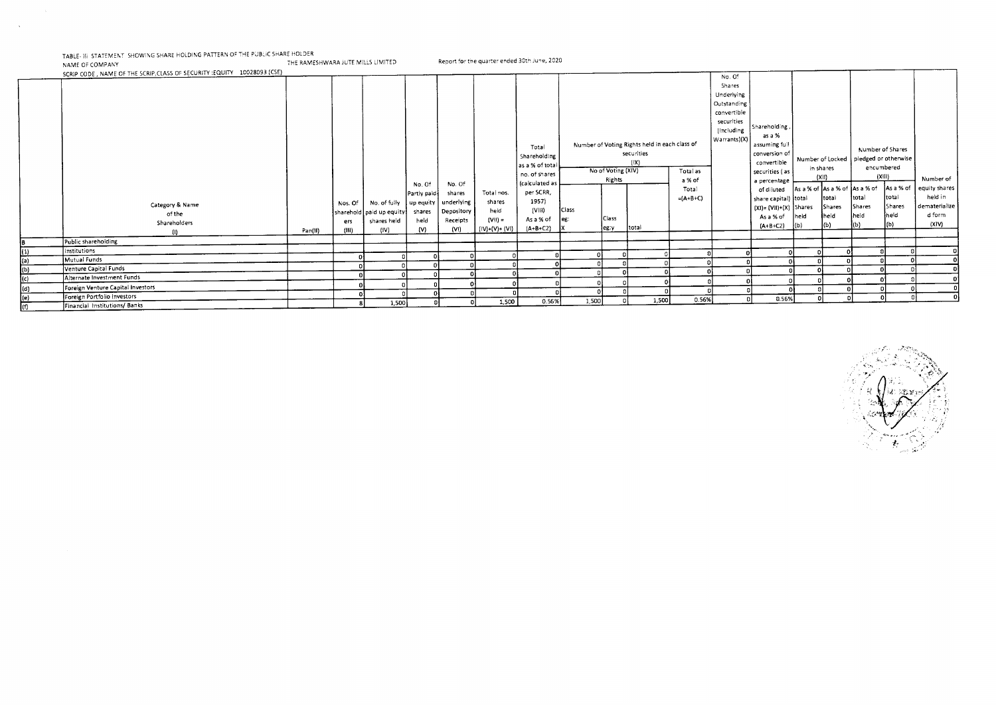TABLE- III: STATEMENT ISHOWING SHARE HOLDING PATTERN OF THE PUBLIC SHARE HOLDER<br>NAME OF COMPANY

 $\sim$ 

NAME OF COMPANY THE RAMESHWARA JUTE MILLS LIMITED Report for the quarter ended 30th June, 2020

SCRIP CODE , NAME OF THE SCRIP,CLASS OF SECURITY :EQUITY 10028093 (CSE) Category & Name of the Shareholders (I) Pan(II) Nos. Of sharehold paid up equity ers (III) No. of fully shares held (IV) No Of Partly paid. up equity shares held (V) No Of shares underlying Depository Receipts (VI) Total nos. shares held  $(V||) =$  $(IV)+(V)+(VI)$ Total Shareholding as a % of total no. of shares (calculated as per SCRR, 1957) (VIII) As a % of (A+B+C2) Number of Voting Rights held in each class of securities  $(|X|)$ No. Of Shares Underlying Outstanding convertible securities (Including Warrants)(X) Shareholding, as a % assuming full conversion of convertible securities ( as a percentage of diluted share capital) total  $(XI) = (VII)+(X)$ As a % of  $(A + B + C2)$ Number of Locked pledged or otherwise in shares (XII) Number of Shares encumbered (XIII) Number of equity shares held in dematerialize d form (XIV) No of Voting (XIV) Rights Total as a % of Total  $=(A+B+C)$ Class eg: X Class eg:y total As a % of As a % of As a % of **Shares** held (b) total Shares held (b) total Shares held (b) As a % of total Shares held (b) Public shareholding Institutions 0 (1) Mutual Funds 0 0 0 0 0 0 0 0 0 0 0 0 0 0 0 0 9 (a) Shareholding (i) Pan(II) (III) shareholding (iii) Pan(III) (IV) (V) (VII) (IV) (VII) (A+B+C2) X<br>(a) Dublic shareholding (iii) (a) (a) (b) (b) (b) (b) (b) (xIV) (xIV) (d) (b) (b) (xIV) (xIV) (d) (b) (b) (xIV)<br>(a) Mu Mutual Funds<br>Venture Capital Funds و المستخدم العالمية التي يتم التي يتم التي يتم التي يتم التي يتم التي يتم التي يتم التي ي<br>Venture Capital Funds 9 Public shareholding<br>- B Public shareholding<br>- Distritutions<br>- Distritutions<br>- Distritute Funds<br>- Distritute Capital Funds<br>- Distritute Capital Funds<br>- Distritute Capital Funds<br>- Distritute Capital Funds<br>- Distritute Ca Alternate Investment Funds 0 0 0 0 0 0 0 0 0 0 0 0 0 0 0 0 **B**<br>(1)<br>(a)<br>(c)<br>(c) Foreign Venture Capital Investors 0 0 0 0 0 0 0 0 0 0 0 0 0 0 0 0 <sup>0</sup> 0 (d) Portfolio Investors 0 0 0 0 0 0 0 0 0 0 0 0 0 0 0 0 0 (e) (f) **Foreign Portfolio Investors**<br>Financial Institutions/Banks Financial Institutions/ Banks 8 1,500 0 0 1,500 0.56% 1,500 0 1,500 0.56% 0 0.56% 0 0 0 0

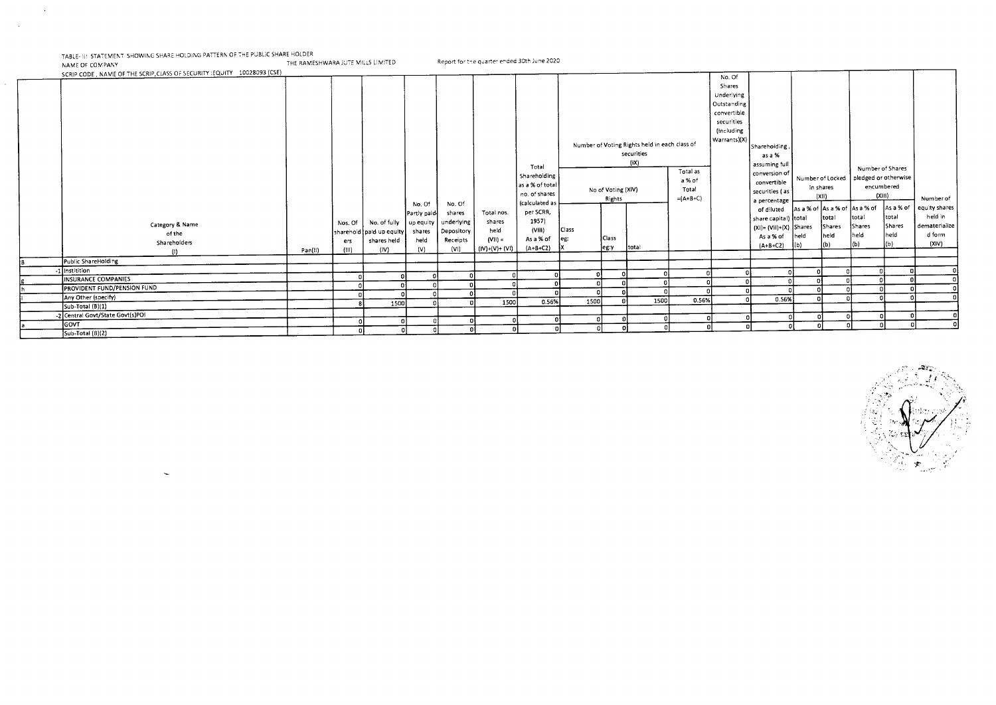$\sim 10^6$ 

 $\sim 100$ 

TABLE- !!! STATEMENT SHOWING SHARE HOLDING PATTERN OF THE PUBLIC SHARE HOLDER<br>NAME OF COMPANY THE RAMESHWARA IUTE D

| SCRIP CODE, NAME OF THE SCRIP, CLASS OF SECURITY : EQUITY 10028093 (CSE) |         |                         |                                                                             |                        |                                              |                                                |                                                                 |       |                              |                                                                     |                               |                                                                                          |                                                                              |                                            |                                 |                                          |                         |                                             |
|--------------------------------------------------------------------------|---------|-------------------------|-----------------------------------------------------------------------------|------------------------|----------------------------------------------|------------------------------------------------|-----------------------------------------------------------------|-------|------------------------------|---------------------------------------------------------------------|-------------------------------|------------------------------------------------------------------------------------------|------------------------------------------------------------------------------|--------------------------------------------|---------------------------------|------------------------------------------|-------------------------|---------------------------------------------|
|                                                                          |         |                         |                                                                             |                        |                                              |                                                |                                                                 |       |                              |                                                                     |                               | No. Of<br>Shares<br>Underlying<br>Outstanding<br>convertible<br>securities<br>(Including |                                                                              |                                            |                                 |                                          |                         |                                             |
|                                                                          |         |                         |                                                                             |                        |                                              |                                                | Total<br>Shareholding                                           |       |                              | Number of Voting Rights held in each class of<br>securities<br>(iX) | Total as                      | Warrants)(X)                                                                             | Shareholding<br>as a %<br>assuming full<br>conversion of                     |                                            | Number of Locked                | Number of Shares<br>pledged or otherwise |                         |                                             |
|                                                                          |         |                         |                                                                             | No. Of<br>Partly paid- | No. Of<br>shares                             | Total nos.                                     | as a % of total<br>no. of shares<br>(calculated as<br>per SCRR, |       | No of Voting (XIV)<br>Rights |                                                                     | a % of<br>Total<br>$=(A+B+C)$ |                                                                                          | convertible<br>securities (as<br>a percentage<br>of diluted                  | in shares<br>As a % of As a % of As a % of | (X  )                           | encumbered<br>(XIII)                     | As a % of               | Number of<br>equity shares                  |
| Category & Name<br>of the<br>Shareholders                                | Pan(II) | Nos. Of<br>ers<br>(111) | No. of fully   up equity<br>sharehold paid up equity<br>shares held<br>(IV) | shares<br>held<br>í۷۱  | underlying<br>Depository<br>Receipts<br>(VI) | shares<br>held<br>$(V  ) =$<br>$(IV)+(V)+(VI)$ | 1957)<br>(VIII)<br>As a % of<br>$(A+B+C2)$                      | Class | Class<br>leg:y               | total                                                               |                               |                                                                                          | share capital) total<br>$(XI) = (VII)+(X)$ Shares<br>As a % of<br>$(A+B+C2)$ | held                                       | total<br>Shares<br>heid.<br>(b) | total<br><b>Shares</b><br>held<br>(b)    | total<br>Shares<br>held | held in<br>dematerialize<br>d form<br>(XIV) |
| Public ShareHolding                                                      |         |                         |                                                                             |                        |                                              |                                                |                                                                 |       |                              |                                                                     |                               |                                                                                          |                                                                              |                                            |                                 |                                          |                         |                                             |
| -1 Institition                                                           |         |                         |                                                                             |                        |                                              |                                                |                                                                 |       |                              |                                                                     |                               |                                                                                          |                                                                              |                                            |                                 |                                          |                         |                                             |
| INSURANCE COMPANIES                                                      |         |                         |                                                                             |                        |                                              |                                                |                                                                 |       |                              |                                                                     |                               |                                                                                          |                                                                              |                                            |                                 |                                          |                         |                                             |
| <b>PROVIDENT FUND/PENSION FUND</b>                                       |         |                         |                                                                             |                        |                                              |                                                |                                                                 |       |                              |                                                                     |                               |                                                                                          |                                                                              |                                            |                                 |                                          |                         |                                             |
| Any Other (specify)                                                      |         |                         | 1500                                                                        |                        |                                              | 1500                                           | 0.56%                                                           | 1500  |                              | 1500                                                                | 0.56%                         |                                                                                          | 0.56%                                                                        |                                            |                                 |                                          |                         |                                             |
| Sub-Total (B)(1)                                                         |         |                         |                                                                             |                        |                                              |                                                |                                                                 |       |                              |                                                                     |                               |                                                                                          |                                                                              |                                            |                                 |                                          |                         |                                             |
| -2 Central Govt/State Govt(s)PO!                                         |         |                         |                                                                             |                        |                                              |                                                |                                                                 |       |                              |                                                                     |                               |                                                                                          |                                                                              |                                            |                                 |                                          |                         |                                             |
| GOVT                                                                     |         |                         |                                                                             |                        |                                              |                                                |                                                                 |       |                              |                                                                     |                               |                                                                                          |                                                                              |                                            |                                 |                                          |                         |                                             |
| $Sub-Total(B)(2)$                                                        |         |                         |                                                                             |                        |                                              |                                                |                                                                 |       |                              |                                                                     |                               |                                                                                          |                                                                              |                                            |                                 |                                          |                         |                                             |

Report for the quarter ended 30th June 2020

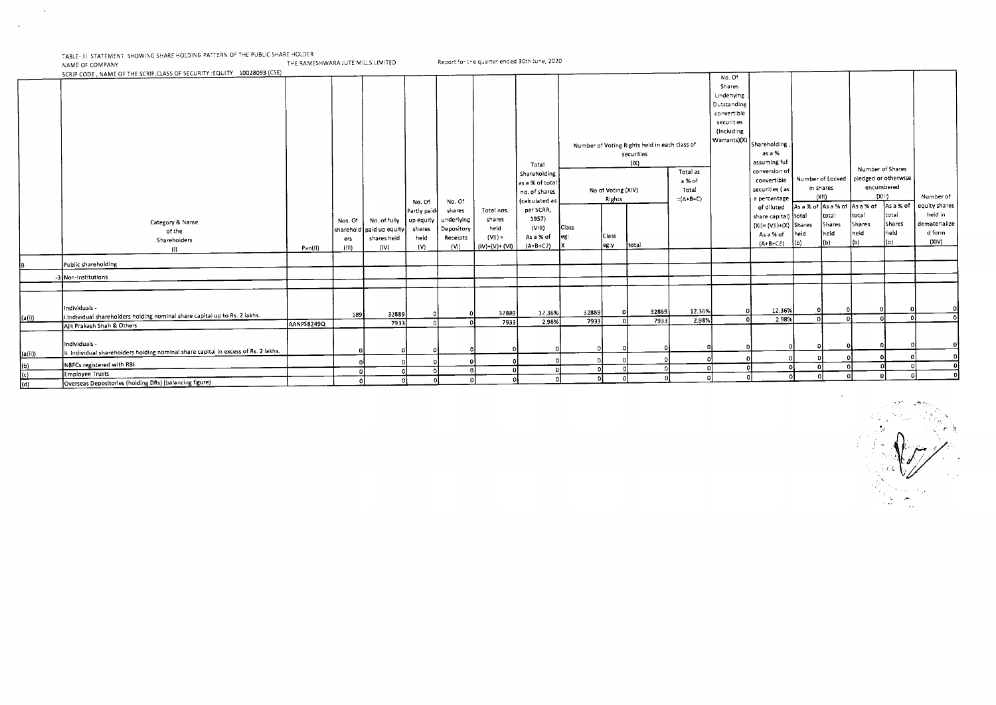TABLE-III STATEMENT SHOWING SHARE HOLDING PATTERN OF THE PUBLIC SHARE HOLDER

 $\mathcal{A}$ 

 $\sim$ 

NAME OF COMPANY THE RAMESHWARA JUTE MILLS LIMITED Report for the quarter ended 30th June, 2020<br>NAME OF COMPANY THE RAMESHWARA JUTE MILLS LIMITED Report for the quarter ended 30th June, 2020

SCRIP CODE, NAME OF THE SCRIP,CLASS OF SECURITY :EQUITY 10028093 (CSE) Category & Name of the Shareholders (I) Pan(II) Nos. Of sharehold paid up equity ers (HI) No. of fully shares held (IV) No Of Partly paid up equity shares held  $(V)$ No Of shares underlying Depository Receipts (VI) Total nos. shares held  $(Vii)$ .  $(IV)+(V)+(VI)$ Total Shareholding as a % of total no of shares (calculated as per SCRR, 1957) (VIII) As a % of (A+B+C2) Number of Voting Rights held in each class of securities  $(X)$ No. Of Shares Underlying Outstanding convertible securities (Including Warrants)(X) Shareholding, as a % assuming full conversion of convertible securities ( as a percentage of diluted share capital)  $(XI) = (VII)+(X)$ As a % of (A+B+C2) Number of Locked in shares (XII) Number of Shares pledged or otherwise encumbered Number of equity shares held in dematerialize d form (XIV) No of Voting (XIV) Rights Total as a % of Total  $=(A+B+C)$ Class eg: X Class eg:v total As a % of As a % of As a % of total Shares held lњ). total Shares held (b) total Shares held  $\vert$ (b) As a % of total Shares held (6) Public shareholding -3 Non-institutions Individuals ii ndividual shareholders holding nominal share capital up to Rs. 2 lakhs. 189 32889 0 0 32889 12.36% 32889 0 32889 12.36% 0 12.36% 0 0 0 0 0  $\vert$ (a(i)) $\vert$ nundividual shareholders holding nominal share capital up to ns. 2 takins. \_\_\_\_\_\_\_\_\_\_\_\_\_\_\_\_\_\_\_\_\_\_\_\_\_\_\_\_\_\_\_\_\_\_\_<br>Ajit Prakash Shah & Others AANPS8249Q 7933 0 0 7933 2.98% Individuals - H. Individual shareholders holding nominal share capital in excess of Rs. 2 lakhs. 0 0 0 0 0 0 0 0 0 0 0 0 0 0 0 0 0  $(a(i))$ NBFCs registered with RBI 0 0 0 0 0 0 0 0 0 0 0 0 0 0 0 0 0 (b) Employee Trusts 0 0 0 0 0 0 0 0 0 0 0 0 0 0 0 0 0  $\frac{(c)}{(d)}$ (d) Overseas Depositories (holding DRs) (balancing figure) 0 0 0 0 0 0 0 0 0 0 0 0 0 0 0 0 0

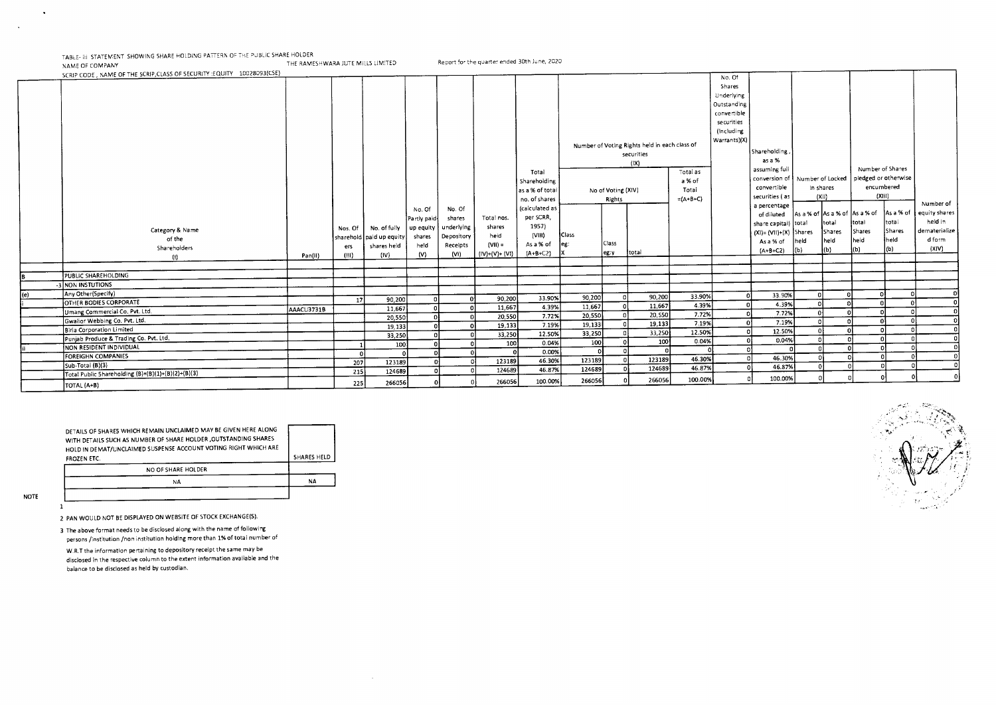TABLE- III: STATEMENT SHOWING SHARE HOLDING PATTERN OF THE PUBLIC SHARE HOLDER<br>NAME OF COMPANY Report for the quarter ended 30th June, 2020

| NAME OF COMPANT |  |
|-----------------|--|
|                 |  |

|     | SCRIP CODE, NAME OF THE SCRIP, CLASS OF SECURITY : EQUITY 10028093(CSE) |            |          |                            |             |            |                 |                 |        |                    |                                               |            | No. Of       |                                |          |           |                               |                      |               |
|-----|-------------------------------------------------------------------------|------------|----------|----------------------------|-------------|------------|-----------------|-----------------|--------|--------------------|-----------------------------------------------|------------|--------------|--------------------------------|----------|-----------|-------------------------------|----------------------|---------------|
|     |                                                                         |            |          |                            |             |            |                 |                 |        |                    |                                               |            | Shares       |                                |          |           |                               |                      |               |
|     |                                                                         |            |          |                            |             |            |                 |                 |        |                    |                                               |            | Underlying   |                                |          |           |                               |                      |               |
|     |                                                                         |            |          |                            |             |            |                 |                 |        |                    |                                               |            | Outstanding  |                                |          |           |                               |                      |               |
|     |                                                                         |            |          |                            |             |            |                 |                 |        |                    |                                               |            | convertible  |                                |          |           |                               |                      |               |
|     |                                                                         |            |          |                            |             |            |                 |                 |        |                    |                                               |            | securities   |                                |          |           |                               |                      |               |
|     |                                                                         |            |          |                            |             |            |                 |                 |        |                    |                                               |            | (Including   |                                |          |           |                               |                      |               |
|     |                                                                         |            |          |                            |             |            |                 |                 |        |                    |                                               |            | Warrants)(X) |                                |          |           |                               |                      |               |
|     |                                                                         |            |          |                            |             |            |                 |                 |        |                    | Number of Voting Rights held in each class of |            |              |                                |          |           |                               |                      |               |
|     |                                                                         |            |          |                            |             |            |                 |                 |        |                    | securities                                    |            |              | Shareholding,                  |          |           |                               |                      |               |
|     |                                                                         |            |          |                            |             |            |                 |                 |        |                    | (1)                                           |            |              | as a %                         |          |           |                               |                      |               |
|     |                                                                         |            |          |                            |             |            |                 | Total           |        |                    |                                               | Total as   |              | assuming full                  |          |           |                               | Number of Shares     |               |
|     |                                                                         |            |          |                            |             |            |                 | Shareholding    |        |                    |                                               | a % of     |              | conversion of Number of Locked |          |           |                               | pledged or otherwise |               |
|     |                                                                         |            |          |                            |             |            |                 | as a % of total |        | No of Voting (XIV) |                                               | Total      |              | convertible                    |          | in shares |                               | encumbered           |               |
|     |                                                                         |            |          |                            |             |            |                 | no. of shares   |        | Rights             |                                               | $=(A+B+C)$ |              | securities ( as                |          | (X  )     |                               | (XIII)               |               |
|     |                                                                         |            |          |                            | No. Of      | No. Of     |                 | (calculated as  |        |                    |                                               |            |              | a percentage                   |          |           |                               |                      | Number of     |
|     |                                                                         |            |          |                            | Partly paid | shares     | Total nos.      | per SCRR,       |        |                    |                                               |            |              | of diluted                     |          |           | As a % of As a % of As a % of | As a % of            | equity shares |
|     | Category & Name                                                         |            | Nos. Of  | No. of fully               | up equity   | underlying | shares          | 1957)           |        |                    |                                               |            |              | share capital) total           |          | total     | total                         | total                | held in       |
|     | of the                                                                  |            |          | sharehold   paid up equity | shares      | Depository | held            | (VIII)          | Class  |                    |                                               |            |              | $(XI) = (VII)+(X)$ Shares      |          | Shares    | Shares                        | Shares               | dematerialize |
|     | Shareholders                                                            |            | ers      | shares held                | held        | Receipts   | $(VII) =$       | As a % of       | leg:   | Class              |                                               |            |              | As a % of                      | held     | held      | held                          | heid                 | d form        |
|     | (1)                                                                     | Pan(II)    | (III)    | (IV)                       | (V)         | (VI)       | $(IV)+(V)+(VI)$ | $(A + B + C2)$  |        | leg:γ              | total                                         |            |              | $(A+B+C2)$                     | (b)      | (b)       | (b)                           |                      | (X V)         |
|     |                                                                         |            |          |                            |             |            |                 |                 |        |                    |                                               |            |              |                                |          |           |                               |                      |               |
|     |                                                                         |            |          |                            |             |            |                 |                 |        |                    |                                               |            |              |                                |          |           |                               |                      |               |
|     | PUBLIC SHAREHOLDING                                                     |            |          |                            |             |            |                 |                 |        |                    |                                               |            |              |                                |          |           |                               |                      |               |
|     | NON INSTUTIONS                                                          |            |          |                            |             |            |                 |                 |        |                    |                                               |            |              |                                |          |           |                               |                      |               |
| (e) | Any Other(Specify)<br><b>OTHER BODIES CORPORATE</b>                     |            | 17       | 90,200                     |             |            | 90,200          | 33.90%          | 90,200 |                    | 90,200                                        | 33.90%     |              | 33.90%                         | $\Omega$ |           |                               | ി<br>$\Omega$        |               |
|     |                                                                         | AAACU3731B |          | 11,667                     |             |            | 11,667          | 4.39%           | 11,667 |                    | 11,667                                        | 4.39%      |              | 4.39%                          |          |           |                               |                      |               |
|     | Umang Commercial Co. Pvt. Ltd.                                          |            |          | 20,550                     |             |            | 20,550          | 7.72%           | 20,550 |                    | 20, S50                                       | 7.72%      |              | 7.72%                          |          |           |                               | $\Delta$             |               |
|     | Gwallor Webbing Co. Pvt. Ltd.                                           |            |          | 19,133                     |             |            | 19,133          | 7.19%           | 19,133 |                    | 19,133                                        | 7.19%      |              | 7.19%                          |          |           |                               |                      |               |
|     | Birla Corporation Limited                                               |            |          | 33,250                     |             |            | 33,250          | 12.50%          | 33,250 |                    | 33,250                                        | 12.50%     |              | 12.50%                         |          |           |                               |                      |               |
|     | Punjab Produce & Trading Co. Pvt. Ltd.                                  |            |          | 100                        |             |            | 100             | 0.04%           | 100    | οl                 | 100                                           | 0.04%      |              | 0.04%                          |          |           |                               |                      |               |
|     | NON RESIDENT INDIVIDUAL                                                 |            | $\Omega$ | $\Omega$                   |             |            |                 | 0.00%           |        |                    | ΩĪ                                            |            |              |                                |          |           |                               |                      |               |
|     | <b>FOREIGHN COMPANIES</b>                                               |            | 207      | 123189                     |             |            | 123189          | 46.30%          | 123189 |                    | 123189                                        | 46.30%     |              | 46.30%                         |          |           |                               |                      |               |
|     | Sub-Total (B)(3)                                                        |            | 215      | 124689                     |             |            | 124689          | 46.87%          | 124689 |                    | 124689                                        | 46.87%     |              | 46.87%                         | c        |           |                               |                      |               |
|     | Total Public Shareholding (B)=(B)(1)+(B)(2)+(B)(3)                      |            |          |                            |             |            | 266056          | 100.00%         | 266056 |                    | 266056                                        | 100.00%    |              | 100.00%                        |          |           |                               |                      |               |
|     | TOTAL (A+B)                                                             |            | 225      | 266056                     |             |            |                 |                 |        |                    |                                               |            |              |                                |          |           |                               |                      |               |

| DETAILS OF SHARES WHICH REMAIN UNCLAIMED MAY BE GIVEN HERE ALONG<br>WITH DETAILS SUCH AS NUMBER OF SHARE HOLDER , OUTSTANDING SHARES<br>HOLD IN DEMAT/UNCLAIMED SUSPENSE ACCOUNT VOTING RIGHT WHICH ARE |                    |
|---------------------------------------------------------------------------------------------------------------------------------------------------------------------------------------------------------|--------------------|
| FROZEN ETC.                                                                                                                                                                                             | <b>SHARES HELD</b> |
| NO OF SHARE HOLDER                                                                                                                                                                                      |                    |
| NA                                                                                                                                                                                                      | NA                 |
|                                                                                                                                                                                                         |                    |

NOTE

 $\overline{1}$ 

 $\ddot{\phantom{0}}$ 

 $\Delta$ 

2 PAN WOULD NOT BE DISPLAYED ON WEBSITE OF STOCK EXCHANGE(S).

3 The above format needs to be disclosed along with the name of following persons /institution /non institution holding more than 1% of total number of

W.R.T the information pertaining to depository receipt the same may be disclosed in the respective column to the extent information available and the balance to be disclosed as held by custodian.